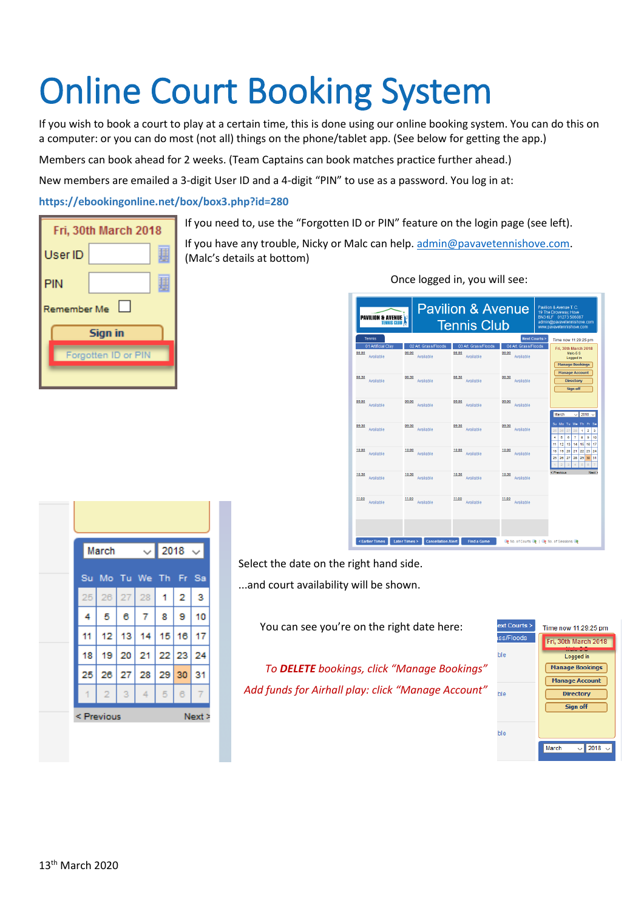# Online Court Booking System

If you wish to book a court to play at a certain time, this is done using our online booking system. You can do this on a computer: or you can do most (not all) things on the phone/tablet app. (See below for getting the app.)

Members can book ahead for 2 weeks. (Team Captains can book matches practice further ahead.)

New members are emailed a 3-digit User ID and a 4-digit "PIN" to use as a password. You log in at:

**https://ebookingonline.net/box/box3.php?id=280**

| Fri, 30th March 2018  |  |  |  |  |
|-----------------------|--|--|--|--|
| User ID               |  |  |  |  |
| PIN                   |  |  |  |  |
| $\Box$<br>Remember Me |  |  |  |  |
| Sign in               |  |  |  |  |
| Forgotten ID or PIN   |  |  |  |  |
|                       |  |  |  |  |

If you need to, use the "Forgotten ID or PIN" feature on the login page (see left).

If you have any trouble, Nicky or Malc can help. [admin@pavavetennishove.com.](mailto:admin@pavavetennishove.com) (Malc's details at bottom)

| <b>PAVILION &amp; AVENUE</b><br><b>TENNIS CLUB</b> |                                                     | <b>Pavilion &amp; Avenue</b><br><b>Tennis Club</b> |                                            | Pavilion & Avenue T. C.<br>19 The Droveway, Hove<br>BN3 6LF 01273 506087<br>admin@pavavetennishove.com<br>www.pavavetennishove.com                         |
|----------------------------------------------------|-----------------------------------------------------|----------------------------------------------------|--------------------------------------------|------------------------------------------------------------------------------------------------------------------------------------------------------------|
| Tennis                                             |                                                     |                                                    | <b>Next Courts &gt;</b>                    | Time now 11:29:25 pm                                                                                                                                       |
| 01 Artificial Clav<br>08:00<br>Available           | 02 Art. Grass/Floods<br>08:00<br>Available          | 03 Art. Grass/Floods<br>08:00<br>Available         | 04 Art. Grass/Floods<br>08:00<br>Available | Fri, 30th March 2018<br>Malc-5 S<br>Logged in<br><b>Manage Bookings</b><br><b>Manage Account</b>                                                           |
| 08:30<br>Available                                 | 08:30<br>Available                                  | 08:30<br>Available                                 | 08:30<br>Available                         | <b>Directory</b><br>Sign off                                                                                                                               |
| 09:00<br>Available                                 | 09:00<br>Available                                  | 09:00<br>Available                                 | 09:00<br>Available                         | $2018$ $\sim$<br>March<br>$\checkmark$                                                                                                                     |
| 09:30<br>Available                                 | 09:30<br>Available                                  | 09:30<br>Available                                 | 09:30<br>Available                         | Su Mo Tu We Th Fr<br>Sa<br>ł.<br>2<br>3<br>25<br>26<br>27<br>28<br>$\overline{7}$<br>4<br>5<br>ō<br>8<br>9<br>10<br>17<br>11<br>12<br>13<br>14<br>15<br>16 |
| 10:00<br>Available                                 | 10:00<br>Available                                  | 10:00<br>Available                                 | 10:00<br>Available                         | 18<br>19<br>20<br>21<br>22<br>23<br>24<br>25<br>26<br>27<br>28<br>29<br>30<br>31<br>$\overline{5}$<br>ż<br>$\overline{\mathbf{3}}$<br>4<br>$\theta$<br>z   |
| 10:30<br>Available                                 | 10:30<br>Available                                  | 10:30<br>Available                                 | 10:30<br>Available                         | < Previous<br>Next >                                                                                                                                       |
| 11:00<br>Available                                 | 11:00<br>Available                                  | 11:00<br>Available                                 | 11:00<br>Available                         |                                                                                                                                                            |
| < Earlier Times                                    | <b>Later Times&gt;</b><br><b>Cancellation Alert</b> | <b>Find a Game</b>                                 | No. of Courts &   & No. of Sessions        |                                                                                                                                                            |

Once logged in, you will see:

| March          |    |    | ◡│ | 2018  |    | $\checkmark$ |
|----------------|----|----|----|-------|----|--------------|
| Su Mo Tu We Th |    |    |    |       | Fr | -Sa          |
| 25             | 26 | 27 | 28 | 1     | 2  | 3            |
| 4              | 5  | 6  | 7  | 8     | 9  | 10           |
| 11             | 12 | 13 | 14 | 15    | 16 | 17           |
| 18             | 19 | 20 | 21 | 22 23 |    | 24           |
| 25             | 26 | 27 | 28 | 29    | 30 | 31           |
| 1              | 2  | 3  | 4  | 5     | 6  | 7            |

Select the date on the right hand side.

...and court availability will be shown.

You can see you're on the right date here:

*To DELETE bookings, click "Manage Bookings" Add funds for Airhall play: click "Manage Account"*

| $ext$ Courts $\ge$ | Time now 11:29:25 pm               |  |  |
|--------------------|------------------------------------|--|--|
| ss/Floods          | Fri, 30th March 2018               |  |  |
| эle                | Logged in                          |  |  |
|                    | <b>Manage Bookings</b>             |  |  |
|                    | <b>Manage Account</b>              |  |  |
| ۱lе                | <b>Directory</b>                   |  |  |
|                    | Sign off                           |  |  |
|                    |                                    |  |  |
| ۱е                 |                                    |  |  |
|                    | ᆔ<br>2018<br>March<br>$\checkmark$ |  |  |
|                    |                                    |  |  |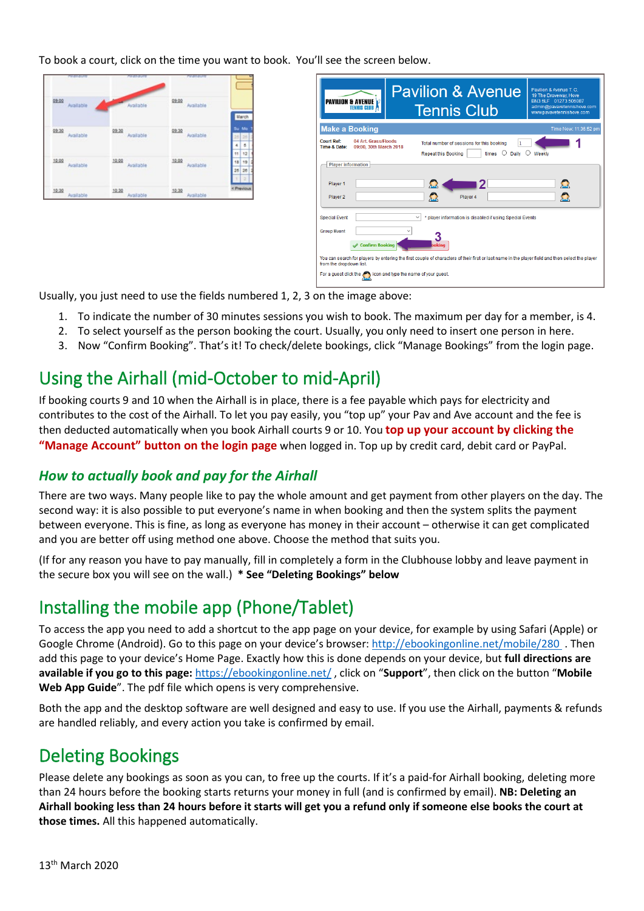To book a court, click on the time you want to book. You'll see the screen below.

| <b>Performances</b> | <b>PERSON</b>      | <b>ATOMORES</b>    |                                  |
|---------------------|--------------------|--------------------|----------------------------------|
| 09.00<br>Available  | Available          | 09.00<br>Available |                                  |
| 09:30<br>Available  | 09:30 Available    | 09:30 Available    | March<br>Su Mo<br>$25 - 25$<br>B |
| 12.22<br>Available  | 19.99 Available    | 10.02<br>Available | 11<br>12<br>18 19<br>26 26       |
| 10:30<br>Available  | 10:30<br>Available | 10:30<br>Available | пΙ<br>$\mathbb{R}$<br>< Previous |

|                                   | <b>PAVILION &amp; AVENUE E</b><br><b>TENNIS CLUB /</b>             | <b>Pavilion &amp; Avenue</b><br><b>Tennis Club</b>                                                                                               | Pavilion & Avenue T. C.<br>19 The Droveway, Hove<br>BN3 6LF 01273 506087<br>admin@pavavetennishove.com<br>www.pavavetennishove.com |
|-----------------------------------|--------------------------------------------------------------------|--------------------------------------------------------------------------------------------------------------------------------------------------|------------------------------------------------------------------------------------------------------------------------------------|
| <b>Make a Booking</b>             |                                                                    |                                                                                                                                                  | Time Now: 11:36:52 pm                                                                                                              |
| <b>Court Ref:</b><br>Time & Date: | 04 Art. Grass/Floods<br>09:00, 30th March 2018                     | Total number of sessions for this booking<br>∩<br>times<br>Daily<br><b>Repeat this Booking</b>                                                   | Weekly                                                                                                                             |
| <b>Player information</b>         |                                                                    |                                                                                                                                                  |                                                                                                                                    |
| Player 1<br>Player 2              |                                                                    | $\sum$<br>Ω<br>Player 4                                                                                                                          | $\mathbf{\Omega}$<br>Ω                                                                                                             |
| <b>Special Event</b>              |                                                                    | * player information is disabled if using Special Events                                                                                         |                                                                                                                                    |
| <b>Group Event</b>                | Confirm Booking                                                    | bokina                                                                                                                                           |                                                                                                                                    |
| from the dropdown list.           |                                                                    | You can search for players by entering the first couple of characters of their first or last name in the player field and then select the player |                                                                                                                                    |
|                                   | For a guest click the street icon and type the name of your guest. |                                                                                                                                                  |                                                                                                                                    |

Usually, you just need to use the fields numbered 1, 2, 3 on the image above:

- 1. To indicate the number of 30 minutes sessions you wish to book. The maximum per day for a member, is 4.
- 2. To select yourself as the person booking the court. Usually, you only need to insert one person in here.
- 3. Now "Confirm Booking". That's it! To check/delete bookings, click "Manage Bookings" from the login page.

### Using the Airhall (mid-October to mid-April)

If booking courts 9 and 10 when the Airhall is in place, there is a fee payable which pays for electricity and contributes to the cost of the Airhall. To let you pay easily, you "top up" your Pav and Ave account and the fee is then deducted automatically when you book Airhall courts 9 or 10. You **top up your account by clicking the "Manage Account" button on the login page** when logged in. Top up by credit card, debit card or PayPal.

#### *How to actually book and pay for the Airhall*

There are two ways. Many people like to pay the whole amount and get payment from other players on the day. The second way: it is also possible to put everyone's name in when booking and then the system splits the payment between everyone. This is fine, as long as everyone has money in their account – otherwise it can get complicated and you are better off using method one above. Choose the method that suits you.

(If for any reason you have to pay manually, fill in completely a form in the Clubhouse lobby and leave payment in the secure box you will see on the wall.) **\* See "Deleting Bookings" below**

### Installing the mobile app (Phone/Tablet)

To access the app you need to add a shortcut to the app page on your device, for example by using Safari (Apple) or Google Chrome (Android). Go to this page on your device's browser:<http://ebookingonline.net/mobile/280>. Then add this page to your device's Home Page. Exactly how this is done depends on your device, but **full directions are available if you go to this page:** <https://ebookingonline.net/> , click on "**Support**", then click on the button "**Mobile Web App Guide**". The pdf file which opens is very comprehensive.

Both the app and the desktop software are well designed and easy to use. If you use the Airhall, payments & refunds are handled reliably, and every action you take is confirmed by email.

### Deleting Bookings

Please delete any bookings as soon as you can, to free up the courts. If it's a paid-for Airhall booking, deleting more than 24 hours before the booking starts returns your money in full (and is confirmed by email). **NB: Deleting an Airhall booking less than 24 hours before it starts will get you a refund only if someone else books the court at those times.** All this happened automatically.